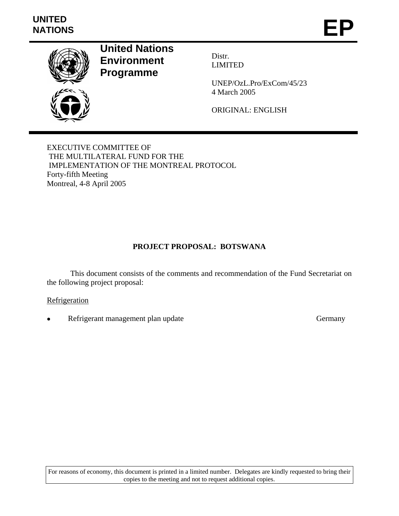# **UNITED**  UNITED<br>NATIONS **EP**



**United Nations Environment Programme** 

Distr. LIMITED

UNEP/OzL.Pro/ExCom/45/23 4 March 2005

ORIGINAL: ENGLISH

EXECUTIVE COMMITTEE OF THE MULTILATERAL FUND FOR THE IMPLEMENTATION OF THE MONTREAL PROTOCOL Forty-fifth Meeting Montreal, 4-8 April 2005

# **PROJECT PROPOSAL: BOTSWANA**

This document consists of the comments and recommendation of the Fund Secretariat on the following project proposal:

## **Refrigeration**

**Refrigerant management plan update Germany Germany** 

For reasons of economy, this document is printed in a limited number. Delegates are kindly requested to bring their copies to the meeting and not to request additional copies.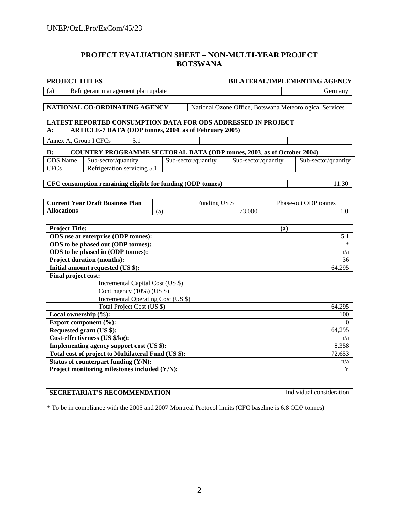# **PROJECT EVALUATION SHEET – NON-MULTI-YEAR PROJECT BOTSWANA**

| <b>PROJECT TITLES</b>                                                                                                                          |     |                     | <b>BILATERAL/IMPLEMENTING AGENCY</b> |                     |  |                                                         |  |
|------------------------------------------------------------------------------------------------------------------------------------------------|-----|---------------------|--------------------------------------|---------------------|--|---------------------------------------------------------|--|
| (a)<br>Refrigerant management plan update                                                                                                      |     |                     |                                      |                     |  | Germany                                                 |  |
|                                                                                                                                                |     |                     |                                      |                     |  |                                                         |  |
| NATIONAL CO-ORDINATING AGENCY                                                                                                                  |     |                     |                                      |                     |  | National Ozone Office, Botswana Meteorological Services |  |
| <b>LATEST REPORTED CONSUMPTION DATA FOR ODS ADDRESSED IN PROJECT</b><br><b>ARTICLE-7 DATA (ODP tonnes, 2004, as of February 2005)</b><br>$A$ : |     |                     |                                      |                     |  |                                                         |  |
| 5.1<br>Annex A, Group I CFCs                                                                                                                   |     |                     |                                      |                     |  |                                                         |  |
| <b>COUNTRY PROGRAMME SECTORAL DATA (ODP tonnes, 2003, as of October 2004)</b><br>$\bf{B}$ :                                                    |     |                     |                                      |                     |  |                                                         |  |
| <b>ODS</b> Name<br>Sub-sector/quantity                                                                                                         |     | Sub-sector/quantity |                                      | Sub-sector/quantity |  | Sub-sector/quantity                                     |  |
| Refrigeration servicing 5.1<br><b>CFCs</b>                                                                                                     |     |                     |                                      |                     |  |                                                         |  |
|                                                                                                                                                |     |                     |                                      |                     |  |                                                         |  |
| CFC consumption remaining eligible for funding (ODP tonnes)                                                                                    |     |                     |                                      |                     |  | 11.30                                                   |  |
|                                                                                                                                                |     |                     |                                      |                     |  |                                                         |  |
| <b>Current Year Draft Business Plan</b>                                                                                                        |     |                     | Funding US \$                        |                     |  | Phase-out ODP tonnes                                    |  |
| <b>Allocations</b>                                                                                                                             | (a) |                     |                                      | 73,000              |  | 1.0                                                     |  |
|                                                                                                                                                |     |                     |                                      |                     |  |                                                         |  |
| <b>Project Title:</b>                                                                                                                          |     |                     |                                      | (a)                 |  |                                                         |  |
| ODS use at enterprise (ODP tonnes):                                                                                                            |     |                     |                                      | 5.1                 |  |                                                         |  |
| ODS to be phased out (ODP tonnes):                                                                                                             |     |                     |                                      | $\ast$              |  |                                                         |  |
| ODS to be phased in (ODP tonnes):                                                                                                              |     |                     |                                      | n/a                 |  |                                                         |  |
| <b>Project duration (months):</b>                                                                                                              |     |                     |                                      | 36                  |  |                                                         |  |
| Initial amount requested (US \$):                                                                                                              |     |                     |                                      |                     |  | 64,295                                                  |  |
| Final project cost:                                                                                                                            |     |                     |                                      |                     |  |                                                         |  |
| Incremental Capital Cost (US \$)<br>Contingency (10%) (US \$)                                                                                  |     |                     |                                      |                     |  |                                                         |  |
| Incremental Operating Cost (US \$)                                                                                                             |     |                     |                                      |                     |  |                                                         |  |
| Total Project Cost (US \$)                                                                                                                     |     |                     |                                      |                     |  | 64,295                                                  |  |
| Local ownership $(\%):$                                                                                                                        |     |                     |                                      |                     |  | 100                                                     |  |
| Export component (%):                                                                                                                          |     |                     |                                      |                     |  | $\Omega$                                                |  |
| Requested grant (US \$):                                                                                                                       |     |                     |                                      |                     |  | 64,295                                                  |  |
| Cost-effectiveness (US \$/kg):                                                                                                                 |     |                     |                                      |                     |  | n/a                                                     |  |
| Implementing agency support cost (US \$):                                                                                                      |     |                     |                                      |                     |  | 8,358                                                   |  |
| Total cost of project to Multilateral Fund (US \$):                                                                                            |     |                     |                                      |                     |  | 72,653                                                  |  |
| Status of counterpart funding (Y/N):                                                                                                           |     |                     |                                      |                     |  | n/a                                                     |  |
| Project monitoring milestones included (Y/N):                                                                                                  |     |                     |                                      |                     |  | $\mathbf Y$                                             |  |

| <b>SECRETARIAT'S RECOMMENDATION</b> | Individual consideration |
|-------------------------------------|--------------------------|

\* To be in compliance with the 2005 and 2007 Montreal Protocol limits (CFC baseline is 6.8 ODP tonnes)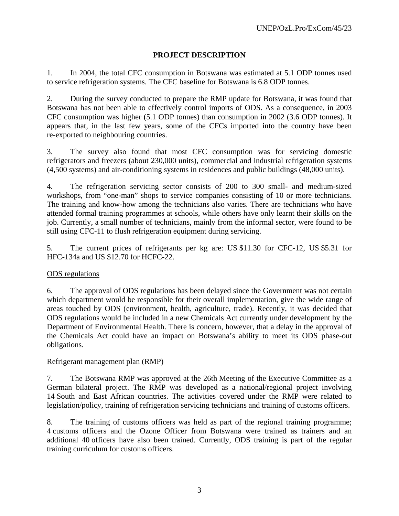# **PROJECT DESCRIPTION**

1. In 2004, the total CFC consumption in Botswana was estimated at 5.1 ODP tonnes used to service refrigeration systems. The CFC baseline for Botswana is 6.8 ODP tonnes.

2. During the survey conducted to prepare the RMP update for Botswana, it was found that Botswana has not been able to effectively control imports of ODS. As a consequence, in 2003 CFC consumption was higher (5.1 ODP tonnes) than consumption in 2002 (3.6 ODP tonnes). It appears that, in the last few years, some of the CFCs imported into the country have been re-exported to neighbouring countries.

3. The survey also found that most CFC consumption was for servicing domestic refrigerators and freezers (about 230,000 units), commercial and industrial refrigeration systems (4,500 systems) and air-conditioning systems in residences and public buildings (48,000 units).

4. The refrigeration servicing sector consists of 200 to 300 small- and medium-sized workshops, from "one-man" shops to service companies consisting of 10 or more technicians. The training and know-how among the technicians also varies. There are technicians who have attended formal training programmes at schools, while others have only learnt their skills on the job. Currently, a small number of technicians, mainly from the informal sector, were found to be still using CFC-11 to flush refrigeration equipment during servicing.

5. The current prices of refrigerants per kg are: US \$11.30 for CFC-12, US \$5.31 for HFC-134a and US \$12.70 for HCFC-22.

## ODS regulations

6. The approval of ODS regulations has been delayed since the Government was not certain which department would be responsible for their overall implementation, give the wide range of areas touched by ODS (environment, health, agriculture, trade). Recently, it was decided that ODS regulations would be included in a new Chemicals Act currently under development by the Department of Environmental Health. There is concern, however, that a delay in the approval of the Chemicals Act could have an impact on Botswana's ability to meet its ODS phase-out obligations.

## Refrigerant management plan (RMP)

7. The Botswana RMP was approved at the 26th Meeting of the Executive Committee as a German bilateral project. The RMP was developed as a national/regional project involving 14 South and East African countries. The activities covered under the RMP were related to legislation/policy, training of refrigeration servicing technicians and training of customs officers.

8. The training of customs officers was held as part of the regional training programme; 4 customs officers and the Ozone Officer from Botswana were trained as trainers and an additional 40 officers have also been trained. Currently, ODS training is part of the regular training curriculum for customs officers.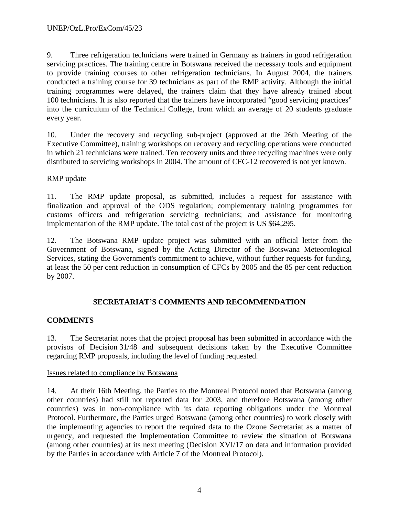9. Three refrigeration technicians were trained in Germany as trainers in good refrigeration servicing practices. The training centre in Botswana received the necessary tools and equipment to provide training courses to other refrigeration technicians. In August 2004, the trainers conducted a training course for 39 technicians as part of the RMP activity. Although the initial training programmes were delayed, the trainers claim that they have already trained about 100 technicians. It is also reported that the trainers have incorporated "good servicing practices" into the curriculum of the Technical College, from which an average of 20 students graduate every year.

10. Under the recovery and recycling sub-project (approved at the 26th Meeting of the Executive Committee), training workshops on recovery and recycling operations were conducted in which 21 technicians were trained. Ten recovery units and three recycling machines were only distributed to servicing workshops in 2004. The amount of CFC-12 recovered is not yet known.

# RMP update

11. The RMP update proposal, as submitted, includes a request for assistance with finalization and approval of the ODS regulation; complementary training programmes for customs officers and refrigeration servicing technicians; and assistance for monitoring implementation of the RMP update. The total cost of the project is US \$64,295.

12. The Botswana RMP update project was submitted with an official letter from the Government of Botswana, signed by the Acting Director of the Botswana Meteorological Services, stating the Government's commitment to achieve, without further requests for funding, at least the 50 per cent reduction in consumption of CFCs by 2005 and the 85 per cent reduction by 2007.

# **SECRETARIAT'S COMMENTS AND RECOMMENDATION**

# **COMMENTS**

13. The Secretariat notes that the project proposal has been submitted in accordance with the provisos of Decision 31/48 and subsequent decisions taken by the Executive Committee regarding RMP proposals, including the level of funding requested.

# Issues related to compliance by Botswana

14. At their 16th Meeting, the Parties to the Montreal Protocol noted that Botswana (among other countries) had still not reported data for 2003, and therefore Botswana (among other countries) was in non-compliance with its data reporting obligations under the Montreal Protocol. Furthermore, the Parties urged Botswana (among other countries) to work closely with the implementing agencies to report the required data to the Ozone Secretariat as a matter of urgency, and requested the Implementation Committee to review the situation of Botswana (among other countries) at its next meeting (Decision XVI/17 on data and information provided by the Parties in accordance with Article 7 of the Montreal Protocol).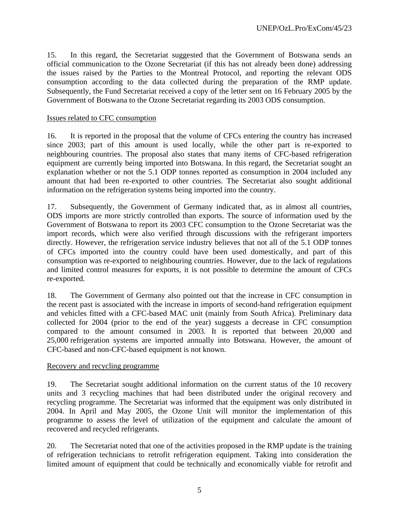15. In this regard, the Secretariat suggested that the Government of Botswana sends an official communication to the Ozone Secretariat (if this has not already been done) addressing the issues raised by the Parties to the Montreal Protocol, and reporting the relevant ODS consumption according to the data collected during the preparation of the RMP update. Subsequently, the Fund Secretariat received a copy of the letter sent on 16 February 2005 by the Government of Botswana to the Ozone Secretariat regarding its 2003 ODS consumption.

## Issues related to CFC consumption

16. It is reported in the proposal that the volume of CFCs entering the country has increased since 2003; part of this amount is used locally, while the other part is re-exported to neighbouring countries. The proposal also states that many items of CFC-based refrigeration equipment are currently being imported into Botswana. In this regard, the Secretariat sought an explanation whether or not the 5.1 ODP tonnes reported as consumption in 2004 included any amount that had been re-exported to other countries. The Secretariat also sought additional information on the refrigeration systems being imported into the country.

17. Subsequently, the Government of Germany indicated that, as in almost all countries, ODS imports are more strictly controlled than exports. The source of information used by the Government of Botswana to report its 2003 CFC consumption to the Ozone Secretariat was the import records, which were also verified through discussions with the refrigerant importers directly. However, the refrigeration service industry believes that not all of the 5.1 ODP tonnes of CFCs imported into the country could have been used domestically, and part of this consumption was re-exported to neighbouring countries. However, due to the lack of regulations and limited control measures for exports, it is not possible to determine the amount of CFCs re-exported.

18. The Government of Germany also pointed out that the increase in CFC consumption in the recent past is associated with the increase in imports of second-hand refrigeration equipment and vehicles fitted with a CFC-based MAC unit (mainly from South Africa). Preliminary data collected for 2004 (prior to the end of the year) suggests a decrease in CFC consumption compared to the amount consumed in 2003. It is reported that between 20,000 and 25,000 refrigeration systems are imported annually into Botswana. However, the amount of CFC-based and non-CFC-based equipment is not known.

#### Recovery and recycling programme

19. The Secretariat sought additional information on the current status of the 10 recovery units and 3 recycling machines that had been distributed under the original recovery and recycling programme. The Secretariat was informed that the equipment was only distributed in 2004. In April and May 2005, the Ozone Unit will monitor the implementation of this programme to assess the level of utilization of the equipment and calculate the amount of recovered and recycled refrigerants.

20. The Secretariat noted that one of the activities proposed in the RMP update is the training of refrigeration technicians to retrofit refrigeration equipment. Taking into consideration the limited amount of equipment that could be technically and economically viable for retrofit and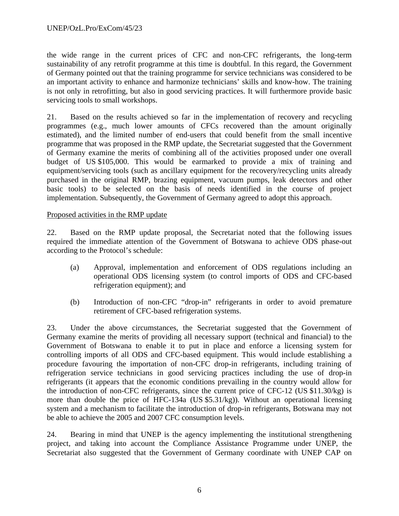the wide range in the current prices of CFC and non-CFC refrigerants, the long-term sustainability of any retrofit programme at this time is doubtful. In this regard, the Government of Germany pointed out that the training programme for service technicians was considered to be an important activity to enhance and harmonize technicians' skills and know-how. The training is not only in retrofitting, but also in good servicing practices. It will furthermore provide basic servicing tools to small workshops.

21. Based on the results achieved so far in the implementation of recovery and recycling programmes (e.g., much lower amounts of CFCs recovered than the amount originally estimated), and the limited number of end-users that could benefit from the small incentive programme that was proposed in the RMP update, the Secretariat suggested that the Government of Germany examine the merits of combining all of the activities proposed under one overall budget of US \$105,000. This would be earmarked to provide a mix of training and equipment/servicing tools (such as ancillary equipment for the recovery/recycling units already purchased in the original RMP, brazing equipment, vacuum pumps, leak detectors and other basic tools) to be selected on the basis of needs identified in the course of project implementation. Subsequently, the Government of Germany agreed to adopt this approach.

## Proposed activities in the RMP update

22. Based on the RMP update proposal, the Secretariat noted that the following issues required the immediate attention of the Government of Botswana to achieve ODS phase-out according to the Protocol's schedule:

- (a) Approval, implementation and enforcement of ODS regulations including an operational ODS licensing system (to control imports of ODS and CFC-based refrigeration equipment); and
- (b) Introduction of non-CFC "drop-in" refrigerants in order to avoid premature retirement of CFC-based refrigeration systems.

23. Under the above circumstances, the Secretariat suggested that the Government of Germany examine the merits of providing all necessary support (technical and financial) to the Government of Botswana to enable it to put in place and enforce a licensing system for controlling imports of all ODS and CFC-based equipment. This would include establishing a procedure favouring the importation of non-CFC drop-in refrigerants, including training of refrigeration service technicians in good servicing practices including the use of drop-in refrigerants (it appears that the economic conditions prevailing in the country would allow for the introduction of non-CFC refrigerants, since the current price of CFC-12 (US \$11.30/kg) is more than double the price of HFC-134a (US \$5.31/kg)). Without an operational licensing system and a mechanism to facilitate the introduction of drop-in refrigerants, Botswana may not be able to achieve the 2005 and 2007 CFC consumption levels.

24. Bearing in mind that UNEP is the agency implementing the institutional strengthening project, and taking into account the Compliance Assistance Programme under UNEP, the Secretariat also suggested that the Government of Germany coordinate with UNEP CAP on